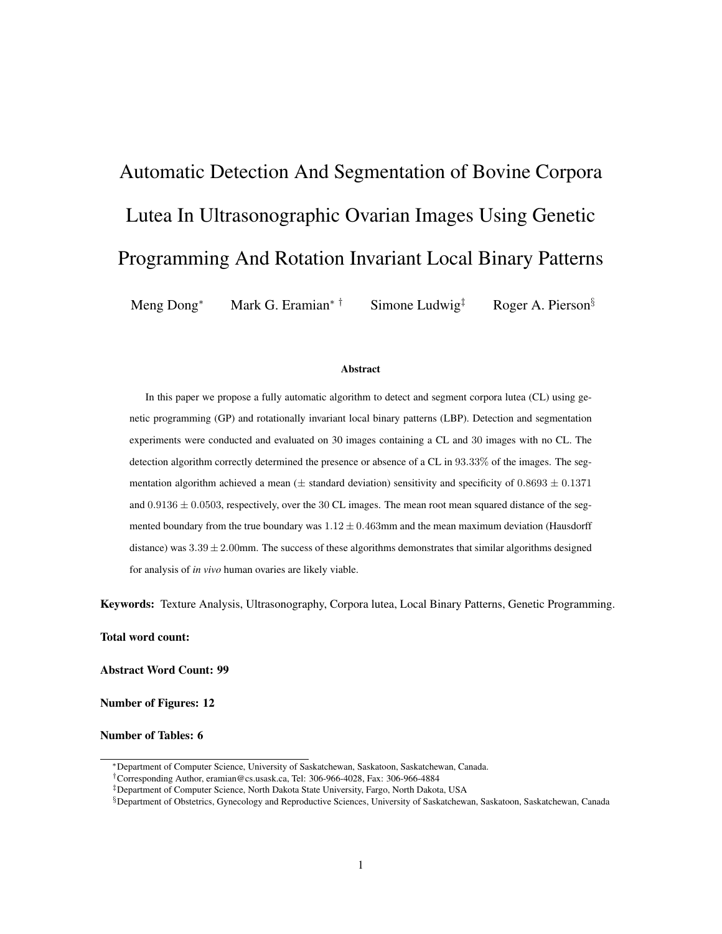# Automatic Detection And Segmentation of Bovine Corpora Lutea In Ultrasonographic Ovarian Images Using Genetic Programming And Rotation Invariant Local Binary Patterns

Meng Dong<sup>∗</sup> Mark G. Eramian<sup>∗†</sup> Simone Ludwig<sup>‡</sup> Roger A. Pierson<sup>§</sup>

#### Abstract

In this paper we propose a fully automatic algorithm to detect and segment corpora lutea (CL) using genetic programming (GP) and rotationally invariant local binary patterns (LBP). Detection and segmentation experiments were conducted and evaluated on 30 images containing a CL and 30 images with no CL. The detection algorithm correctly determined the presence or absence of a CL in 93.33% of the images. The segmentation algorithm achieved a mean ( $\pm$  standard deviation) sensitivity and specificity of 0.8693  $\pm$  0.1371 and  $0.9136 \pm 0.0503$ , respectively, over the 30 CL images. The mean root mean squared distance of the segmented boundary from the true boundary was  $1.12 \pm 0.463$ mm and the mean maximum deviation (Hausdorff distance) was  $3.39 \pm 2.00$ mm. The success of these algorithms demonstrates that similar algorithms designed for analysis of *in vivo* human ovaries are likely viable.

Keywords: Texture Analysis, Ultrasonography, Corpora lutea, Local Binary Patterns, Genetic Programming.

Total word count:

Abstract Word Count: 99

Number of Figures: 12

Number of Tables: 6

<sup>∗</sup>Department of Computer Science, University of Saskatchewan, Saskatoon, Saskatchewan, Canada.

<sup>†</sup>Corresponding Author, eramian@cs.usask.ca, Tel: 306-966-4028, Fax: 306-966-4884

<sup>‡</sup>Department of Computer Science, North Dakota State University, Fargo, North Dakota, USA

<sup>§</sup>Department of Obstetrics, Gynecology and Reproductive Sciences, University of Saskatchewan, Saskatoon, Saskatchewan, Canada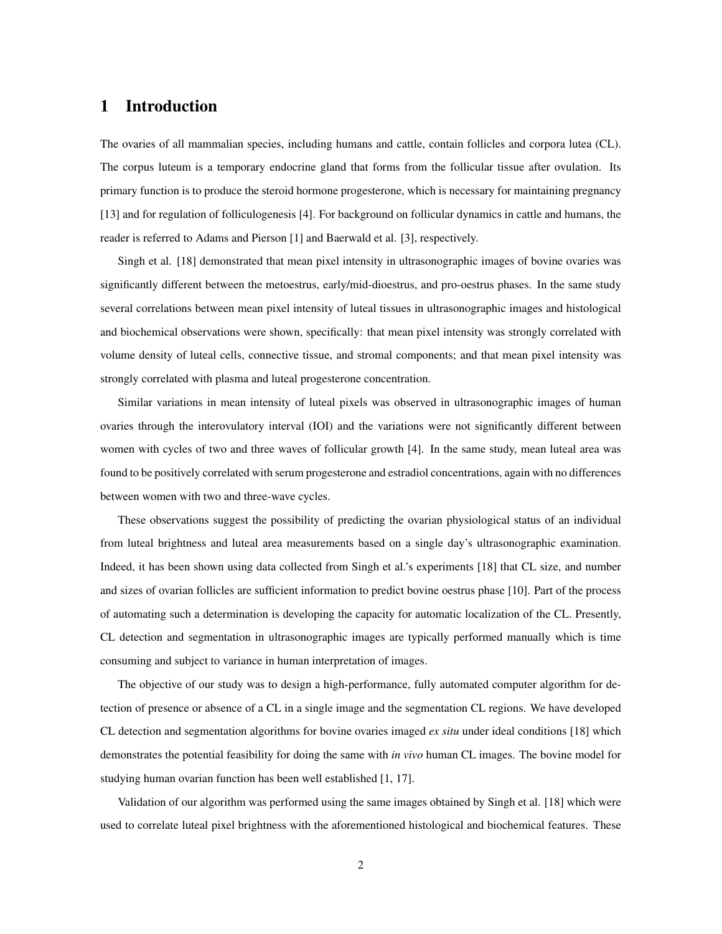# 1 Introduction

The ovaries of all mammalian species, including humans and cattle, contain follicles and corpora lutea (CL). The corpus luteum is a temporary endocrine gland that forms from the follicular tissue after ovulation. Its primary function is to produce the steroid hormone progesterone, which is necessary for maintaining pregnancy [13] and for regulation of folliculogenesis [4]. For background on follicular dynamics in cattle and humans, the reader is referred to Adams and Pierson [1] and Baerwald et al. [3], respectively.

Singh et al. [18] demonstrated that mean pixel intensity in ultrasonographic images of bovine ovaries was significantly different between the metoestrus, early/mid-dioestrus, and pro-oestrus phases. In the same study several correlations between mean pixel intensity of luteal tissues in ultrasonographic images and histological and biochemical observations were shown, specifically: that mean pixel intensity was strongly correlated with volume density of luteal cells, connective tissue, and stromal components; and that mean pixel intensity was strongly correlated with plasma and luteal progesterone concentration.

Similar variations in mean intensity of luteal pixels was observed in ultrasonographic images of human ovaries through the interovulatory interval (IOI) and the variations were not significantly different between women with cycles of two and three waves of follicular growth [4]. In the same study, mean luteal area was found to be positively correlated with serum progesterone and estradiol concentrations, again with no differences between women with two and three-wave cycles.

These observations suggest the possibility of predicting the ovarian physiological status of an individual from luteal brightness and luteal area measurements based on a single day's ultrasonographic examination. Indeed, it has been shown using data collected from Singh et al.'s experiments [18] that CL size, and number and sizes of ovarian follicles are sufficient information to predict bovine oestrus phase [10]. Part of the process of automating such a determination is developing the capacity for automatic localization of the CL. Presently, CL detection and segmentation in ultrasonographic images are typically performed manually which is time consuming and subject to variance in human interpretation of images.

The objective of our study was to design a high-performance, fully automated computer algorithm for detection of presence or absence of a CL in a single image and the segmentation CL regions. We have developed CL detection and segmentation algorithms for bovine ovaries imaged *ex situ* under ideal conditions [18] which demonstrates the potential feasibility for doing the same with *in vivo* human CL images. The bovine model for studying human ovarian function has been well established [1, 17].

Validation of our algorithm was performed using the same images obtained by Singh et al. [18] which were used to correlate luteal pixel brightness with the aforementioned histological and biochemical features. These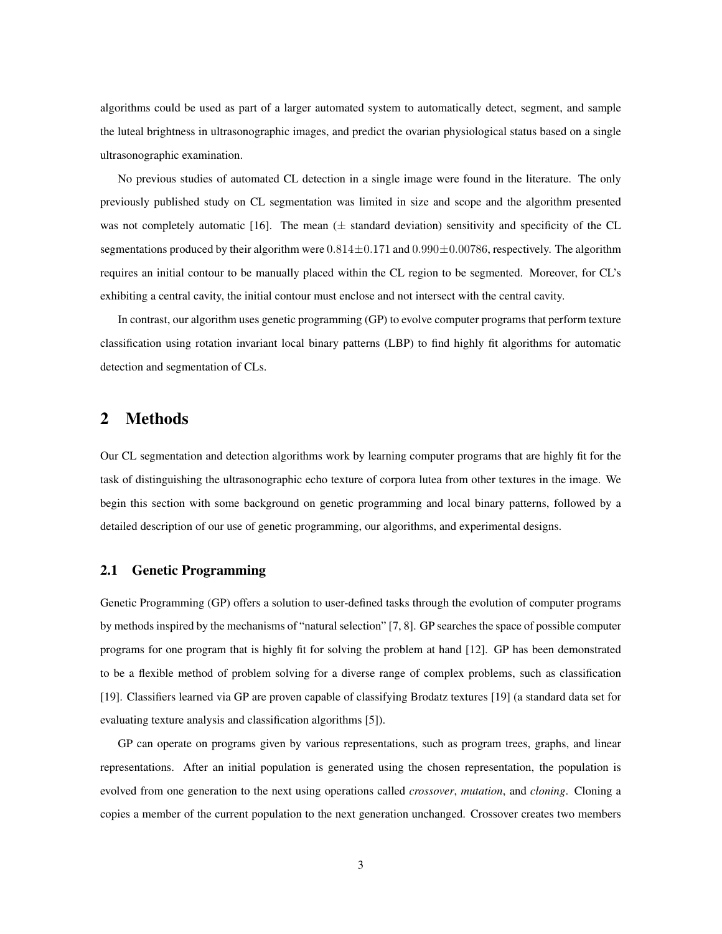algorithms could be used as part of a larger automated system to automatically detect, segment, and sample the luteal brightness in ultrasonographic images, and predict the ovarian physiological status based on a single ultrasonographic examination.

No previous studies of automated CL detection in a single image were found in the literature. The only previously published study on CL segmentation was limited in size and scope and the algorithm presented was not completely automatic [16]. The mean  $(\pm$  standard deviation) sensitivity and specificity of the CL segmentations produced by their algorithm were  $0.814 \pm 0.171$  and  $0.990 \pm 0.00786$ , respectively. The algorithm requires an initial contour to be manually placed within the CL region to be segmented. Moreover, for CL's exhibiting a central cavity, the initial contour must enclose and not intersect with the central cavity.

In contrast, our algorithm uses genetic programming (GP) to evolve computer programs that perform texture classification using rotation invariant local binary patterns (LBP) to find highly fit algorithms for automatic detection and segmentation of CLs.

# 2 Methods

Our CL segmentation and detection algorithms work by learning computer programs that are highly fit for the task of distinguishing the ultrasonographic echo texture of corpora lutea from other textures in the image. We begin this section with some background on genetic programming and local binary patterns, followed by a detailed description of our use of genetic programming, our algorithms, and experimental designs.

# 2.1 Genetic Programming

Genetic Programming (GP) offers a solution to user-defined tasks through the evolution of computer programs by methods inspired by the mechanisms of "natural selection" [7, 8]. GP searches the space of possible computer programs for one program that is highly fit for solving the problem at hand [12]. GP has been demonstrated to be a flexible method of problem solving for a diverse range of complex problems, such as classification [19]. Classifiers learned via GP are proven capable of classifying Brodatz textures [19] (a standard data set for evaluating texture analysis and classification algorithms [5]).

GP can operate on programs given by various representations, such as program trees, graphs, and linear representations. After an initial population is generated using the chosen representation, the population is evolved from one generation to the next using operations called *crossover*, *mutation*, and *cloning*. Cloning a copies a member of the current population to the next generation unchanged. Crossover creates two members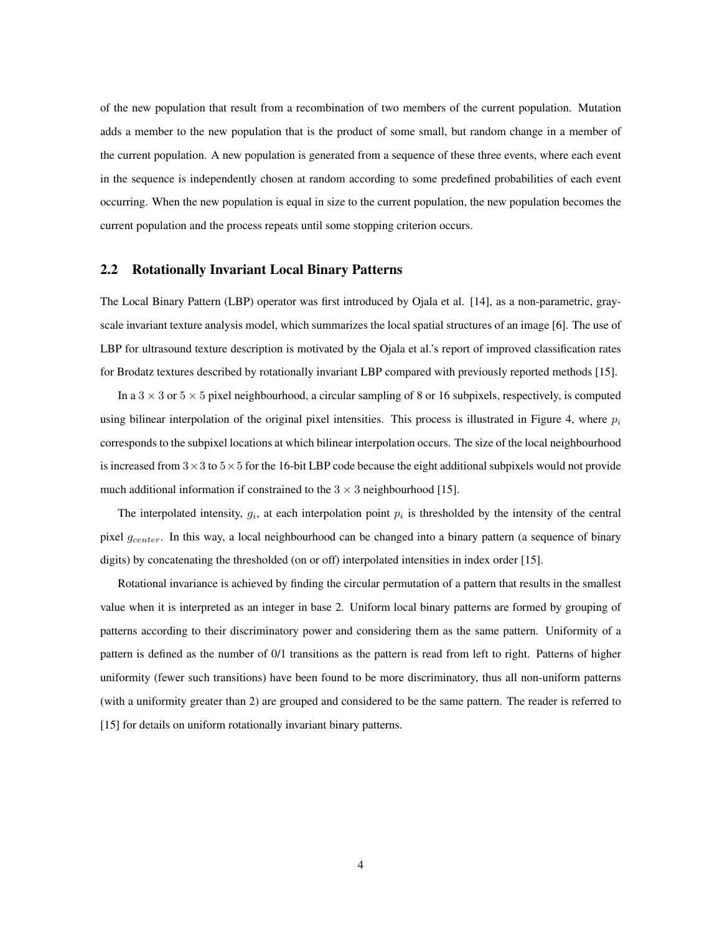of the new population that result from a recombination of two members of the current population. Mutation adds a member to the new population that is the product of some small, but random change in a member of the current population. A new population is generated from a sequence of these three events, where each event in the sequence is independently chosen at random according to some predefined probabilities of each event occurring. When the new population is equal in size to the current population, the new population becomes the current population and the process repeats until some stopping criterion occurs.

#### 2.2 Rotationally Invariant Local Binary Patterns

The Local Binary Pattern (LBP) operator was first introduced by Ojala et al. [14], as a non-parametric, grayscale invariant texture analysis model, which summarizes the local spatial structures of an image [6]. The use of LBP for ultrasound texture description is motivated by the Ojala et al.'s report of improved classification rates for Brodatz textures described by rotationally invariant LBP compared with previously reported methods [15].

In a  $3 \times 3$  or  $5 \times 5$  pixel neighbourhood, a circular sampling of 8 or 16 subpixels, respectively, is computed using bilinear interpolation of the original pixel intensities. This process is illustrated in Figure 4, where  $p_i$ corresponds to the subpixel locations at which bilinear interpolation occurs. The size of the local neighbourhood is increased from  $3\times3$  to  $5\times5$  for the 16-bit LBP code because the eight additional subpixels would not provide much additional information if constrained to the  $3 \times 3$  neighbourhood [15].

The interpolated intensity,  $g_i$ , at each interpolation point  $p_i$  is thresholded by the intensity of the central pixel  $g_{center}$ . In this way, a local neighbourhood can be changed into a binary pattern (a sequence of binary digits) by concatenating the thresholded (on or off) interpolated intensities in index order [15].

Rotational invariance is achieved by finding the circular permutation of a pattern that results in the smallest value when it is interpreted as an integer in base 2. Uniform local binary patterns are formed by grouping of patterns according to their discriminatory power and considering them as the same pattern. Uniformity of a pattern is defined as the number of 0/1 transitions as the pattern is read from left to right. Patterns of higher uniformity (fewer such transitions) have been found to be more discriminatory, thus all non-uniform patterns (with a uniformity greater than 2) are grouped and considered to be the same pattern. The reader is referred to [15] for details on uniform rotationally invariant binary patterns.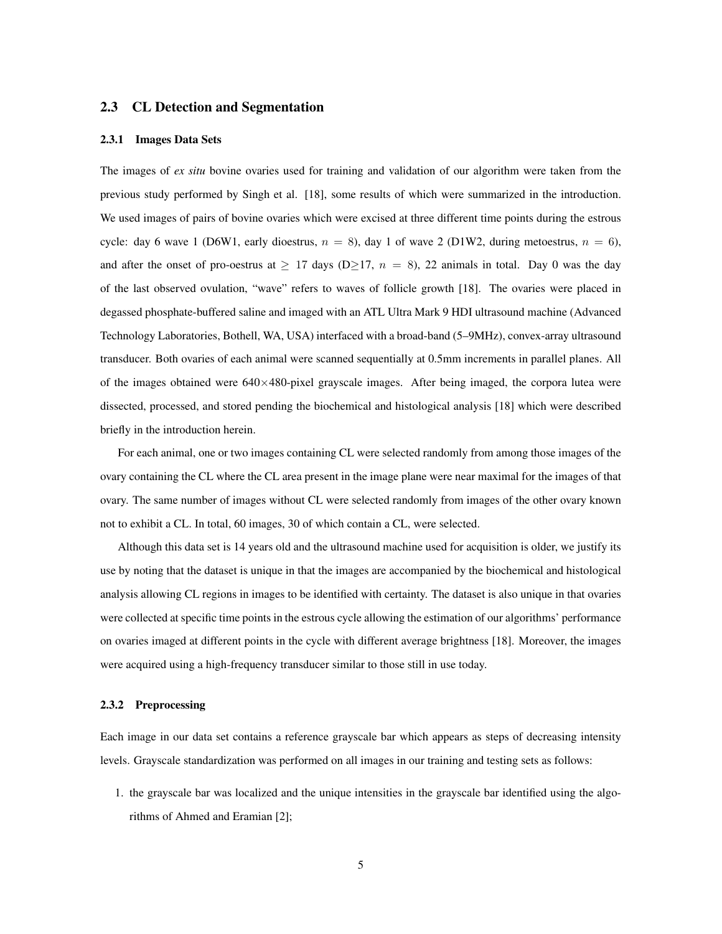#### 2.3 CL Detection and Segmentation

#### 2.3.1 Images Data Sets

The images of *ex situ* bovine ovaries used for training and validation of our algorithm were taken from the previous study performed by Singh et al. [18], some results of which were summarized in the introduction. We used images of pairs of bovine ovaries which were excised at three different time points during the estrous cycle: day 6 wave 1 (D6W1, early dioestrus,  $n = 8$ ), day 1 of wave 2 (D1W2, during metoestrus,  $n = 6$ ), and after the onset of pro-oestrus at  $\geq$  17 days (D $\geq$ 17,  $n = 8$ ), 22 animals in total. Day 0 was the day of the last observed ovulation, "wave" refers to waves of follicle growth [18]. The ovaries were placed in degassed phosphate-buffered saline and imaged with an ATL Ultra Mark 9 HDI ultrasound machine (Advanced Technology Laboratories, Bothell, WA, USA) interfaced with a broad-band (5–9MHz), convex-array ultrasound transducer. Both ovaries of each animal were scanned sequentially at 0.5mm increments in parallel planes. All of the images obtained were  $640\times480$ -pixel grayscale images. After being imaged, the corpora lutea were dissected, processed, and stored pending the biochemical and histological analysis [18] which were described briefly in the introduction herein.

For each animal, one or two images containing CL were selected randomly from among those images of the ovary containing the CL where the CL area present in the image plane were near maximal for the images of that ovary. The same number of images without CL were selected randomly from images of the other ovary known not to exhibit a CL. In total, 60 images, 30 of which contain a CL, were selected.

Although this data set is 14 years old and the ultrasound machine used for acquisition is older, we justify its use by noting that the dataset is unique in that the images are accompanied by the biochemical and histological analysis allowing CL regions in images to be identified with certainty. The dataset is also unique in that ovaries were collected at specific time points in the estrous cycle allowing the estimation of our algorithms' performance on ovaries imaged at different points in the cycle with different average brightness [18]. Moreover, the images were acquired using a high-frequency transducer similar to those still in use today.

#### 2.3.2 Preprocessing

Each image in our data set contains a reference grayscale bar which appears as steps of decreasing intensity levels. Grayscale standardization was performed on all images in our training and testing sets as follows:

1. the grayscale bar was localized and the unique intensities in the grayscale bar identified using the algorithms of Ahmed and Eramian [2];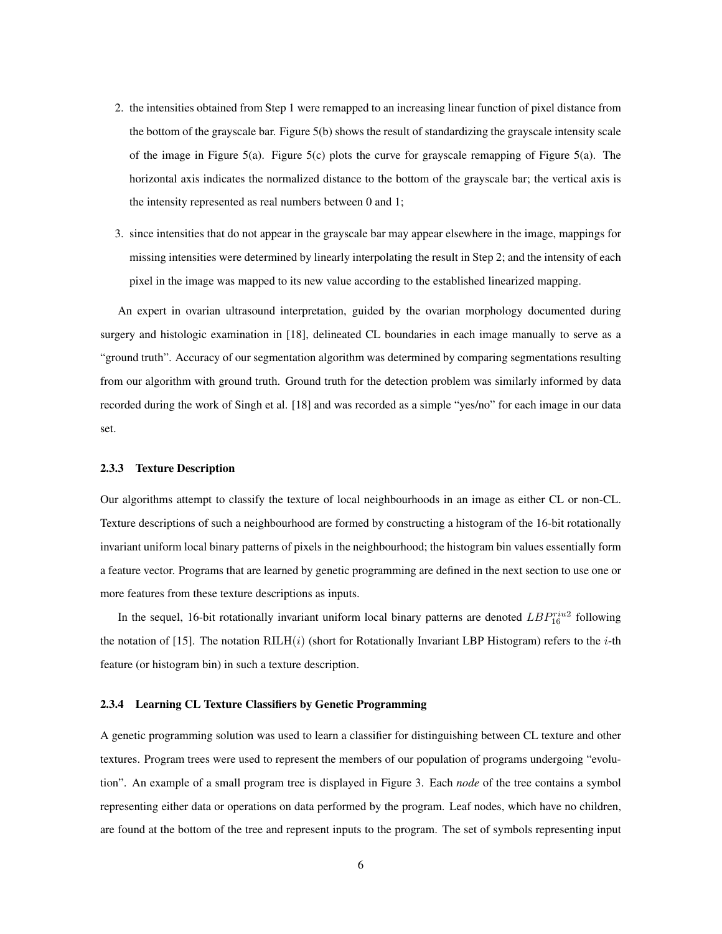- 2. the intensities obtained from Step 1 were remapped to an increasing linear function of pixel distance from the bottom of the grayscale bar. Figure 5(b) shows the result of standardizing the grayscale intensity scale of the image in Figure 5(a). Figure 5(c) plots the curve for grayscale remapping of Figure 5(a). The horizontal axis indicates the normalized distance to the bottom of the grayscale bar; the vertical axis is the intensity represented as real numbers between 0 and 1;
- 3. since intensities that do not appear in the grayscale bar may appear elsewhere in the image, mappings for missing intensities were determined by linearly interpolating the result in Step 2; and the intensity of each pixel in the image was mapped to its new value according to the established linearized mapping.

An expert in ovarian ultrasound interpretation, guided by the ovarian morphology documented during surgery and histologic examination in [18], delineated CL boundaries in each image manually to serve as a "ground truth". Accuracy of our segmentation algorithm was determined by comparing segmentations resulting from our algorithm with ground truth. Ground truth for the detection problem was similarly informed by data recorded during the work of Singh et al. [18] and was recorded as a simple "yes/no" for each image in our data set.

#### 2.3.3 Texture Description

Our algorithms attempt to classify the texture of local neighbourhoods in an image as either CL or non-CL. Texture descriptions of such a neighbourhood are formed by constructing a histogram of the 16-bit rotationally invariant uniform local binary patterns of pixels in the neighbourhood; the histogram bin values essentially form a feature vector. Programs that are learned by genetic programming are defined in the next section to use one or more features from these texture descriptions as inputs.

In the sequel, 16-bit rotationally invariant uniform local binary patterns are denoted  $LBP_{16}^{riu2}$  following the notation of [15]. The notation  $RILH(i)$  (short for Rotationally Invariant LBP Histogram) refers to the *i*-th feature (or histogram bin) in such a texture description.

#### 2.3.4 Learning CL Texture Classifiers by Genetic Programming

A genetic programming solution was used to learn a classifier for distinguishing between CL texture and other textures. Program trees were used to represent the members of our population of programs undergoing "evolution". An example of a small program tree is displayed in Figure 3. Each *node* of the tree contains a symbol representing either data or operations on data performed by the program. Leaf nodes, which have no children, are found at the bottom of the tree and represent inputs to the program. The set of symbols representing input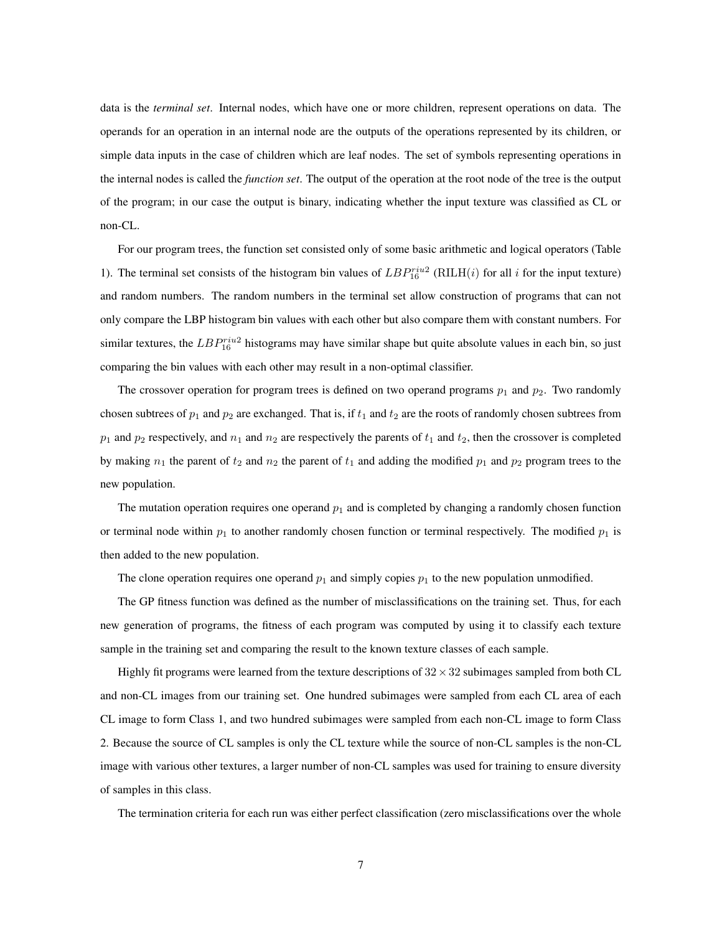data is the *terminal set*. Internal nodes, which have one or more children, represent operations on data. The operands for an operation in an internal node are the outputs of the operations represented by its children, or simple data inputs in the case of children which are leaf nodes. The set of symbols representing operations in the internal nodes is called the *function set*. The output of the operation at the root node of the tree is the output of the program; in our case the output is binary, indicating whether the input texture was classified as CL or non-CL.

For our program trees, the function set consisted only of some basic arithmetic and logical operators (Table 1). The terminal set consists of the histogram bin values of  $LBP_{16}^{riu2}$  (RILH(i) for all i for the input texture) and random numbers. The random numbers in the terminal set allow construction of programs that can not only compare the LBP histogram bin values with each other but also compare them with constant numbers. For similar textures, the  $LBP_{16}^{riu2}$  histograms may have similar shape but quite absolute values in each bin, so just comparing the bin values with each other may result in a non-optimal classifier.

The crossover operation for program trees is defined on two operand programs  $p_1$  and  $p_2$ . Two randomly chosen subtrees of  $p_1$  and  $p_2$  are exchanged. That is, if  $t_1$  and  $t_2$  are the roots of randomly chosen subtrees from  $p_1$  and  $p_2$  respectively, and  $n_1$  and  $n_2$  are respectively the parents of  $t_1$  and  $t_2$ , then the crossover is completed by making  $n_1$  the parent of  $t_2$  and  $n_2$  the parent of  $t_1$  and adding the modified  $p_1$  and  $p_2$  program trees to the new population.

The mutation operation requires one operand  $p_1$  and is completed by changing a randomly chosen function or terminal node within  $p_1$  to another randomly chosen function or terminal respectively. The modified  $p_1$  is then added to the new population.

The clone operation requires one operand  $p_1$  and simply copies  $p_1$  to the new population unmodified.

The GP fitness function was defined as the number of misclassifications on the training set. Thus, for each new generation of programs, the fitness of each program was computed by using it to classify each texture sample in the training set and comparing the result to the known texture classes of each sample.

Highly fit programs were learned from the texture descriptions of  $32 \times 32$  subimages sampled from both CL and non-CL images from our training set. One hundred subimages were sampled from each CL area of each CL image to form Class 1, and two hundred subimages were sampled from each non-CL image to form Class 2. Because the source of CL samples is only the CL texture while the source of non-CL samples is the non-CL image with various other textures, a larger number of non-CL samples was used for training to ensure diversity of samples in this class.

The termination criteria for each run was either perfect classification (zero misclassifications over the whole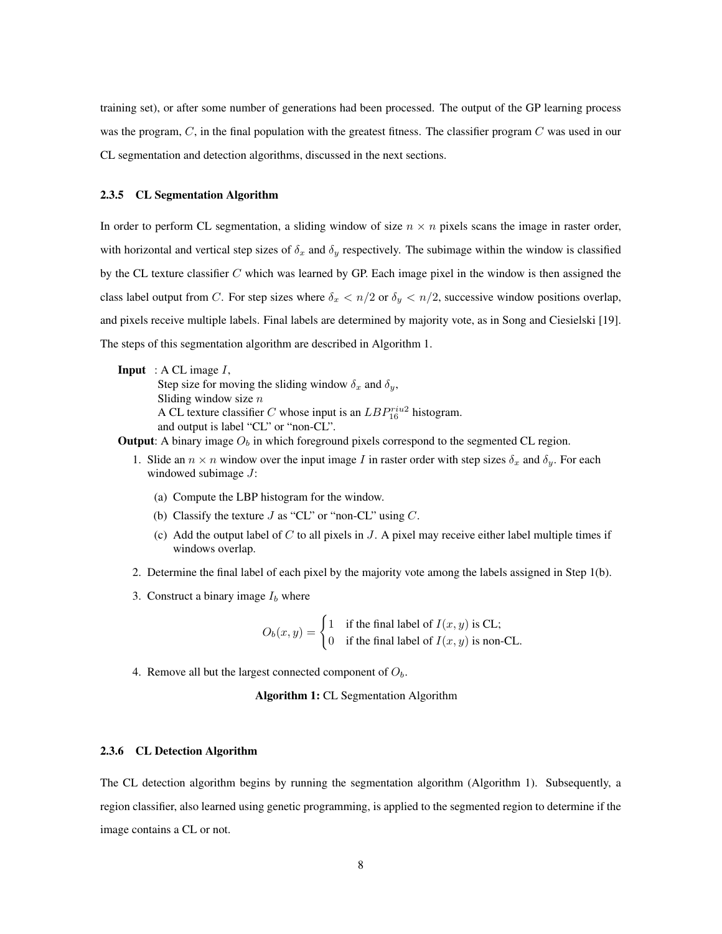training set), or after some number of generations had been processed. The output of the GP learning process was the program, C, in the final population with the greatest fitness. The classifier program C was used in our CL segmentation and detection algorithms, discussed in the next sections.

#### 2.3.5 CL Segmentation Algorithm

In order to perform CL segmentation, a sliding window of size  $n \times n$  pixels scans the image in raster order, with horizontal and vertical step sizes of  $\delta_x$  and  $\delta_y$  respectively. The subimage within the window is classified by the CL texture classifier C which was learned by GP. Each image pixel in the window is then assigned the class label output from C. For step sizes where  $\delta_x < n/2$  or  $\delta_y < n/2$ , successive window positions overlap, and pixels receive multiple labels. Final labels are determined by majority vote, as in Song and Ciesielski [19]. The steps of this segmentation algorithm are described in Algorithm 1.

**Input** : A CL image  $I$ ,

Step size for moving the sliding window  $\delta_x$  and  $\delta_y$ , Sliding window size  $n$ A CL texture classifier C whose input is an  $LBP_{16}^{riu2}$  histogram. and output is label "CL" or "non-CL".

**Output:** A binary image  $O<sub>b</sub>$  in which foreground pixels correspond to the segmented CL region.

- 1. Slide an  $n \times n$  window over the input image I in raster order with step sizes  $\delta_x$  and  $\delta_y$ . For each windowed subimage J:
	- (a) Compute the LBP histogram for the window.
	- (b) Classify the texture  $J$  as "CL" or "non-CL" using  $C$ .
	- (c) Add the output label of  $C$  to all pixels in  $J$ . A pixel may receive either label multiple times if windows overlap.
- 2. Determine the final label of each pixel by the majority vote among the labels assigned in Step 1(b).
- 3. Construct a binary image  $I_b$  where

 $O_b(x, y) = \begin{cases} 1 & \text{if the final label of } I(x, y) \text{ is CL;} \\ 0 & \text{if } 0 \leq x \leq 1 \end{cases}$ 0 if the final label of  $I(x, y)$  is non-CL.

4. Remove all but the largest connected component of  $O<sub>b</sub>$ .

Algorithm 1: CL Segmentation Algorithm

#### 2.3.6 CL Detection Algorithm

The CL detection algorithm begins by running the segmentation algorithm (Algorithm 1). Subsequently, a region classifier, also learned using genetic programming, is applied to the segmented region to determine if the image contains a CL or not.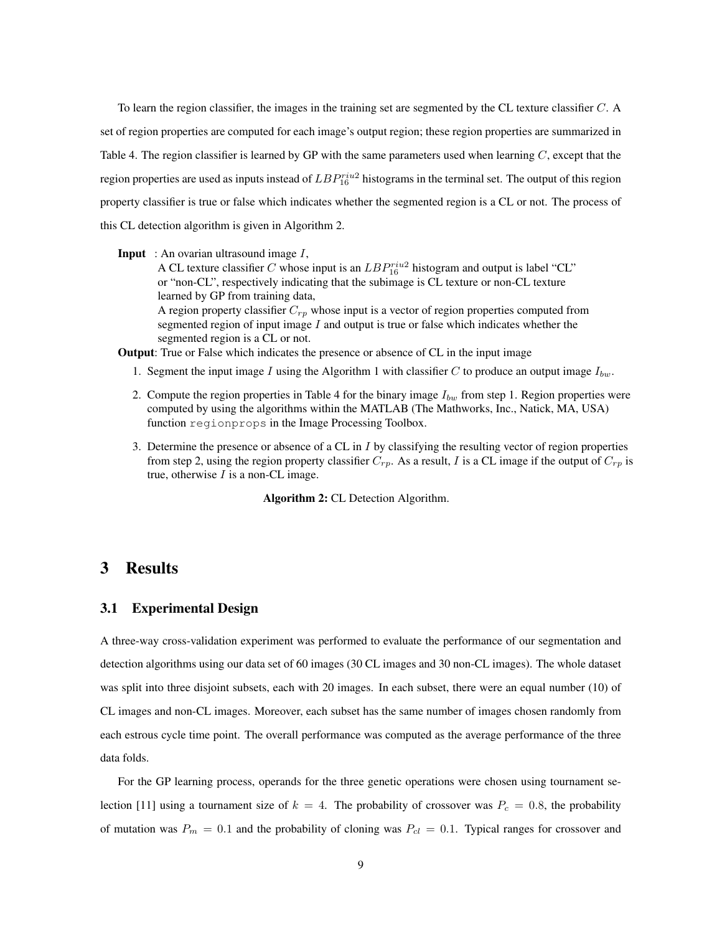To learn the region classifier, the images in the training set are segmented by the CL texture classifier C. A set of region properties are computed for each image's output region; these region properties are summarized in Table 4. The region classifier is learned by GP with the same parameters used when learning  $C$ , except that the region properties are used as inputs instead of  $LBP_{16}^{riu2}$  histograms in the terminal set. The output of this region property classifier is true or false which indicates whether the segmented region is a CL or not. The process of this CL detection algorithm is given in Algorithm 2.

#### **Input** : An ovarian ultrasound image  $I$ ,

A CL texture classifier C whose input is an  $LBP_{16}^{riu2}$  histogram and output is label "CL" or "non-CL", respectively indicating that the subimage is CL texture or non-CL texture learned by GP from training data, A region property classifier  $C_{rp}$  whose input is a vector of region properties computed from

segmented region of input image  $I$  and output is true or false which indicates whether the segmented region is a CL or not.

Output: True or False which indicates the presence or absence of CL in the input image

- 1. Segment the input image I using the Algorithm 1 with classifier C to produce an output image  $I_{bw}$ .
- 2. Compute the region properties in Table 4 for the binary image  $I_{bw}$  from step 1. Region properties were computed by using the algorithms within the MATLAB (The Mathworks, Inc., Natick, MA, USA) function regionprops in the Image Processing Toolbox.
- 3. Determine the presence or absence of a CL in  $I$  by classifying the resulting vector of region properties from step 2, using the region property classifier  $C_{rp}$ . As a result, I is a CL image if the output of  $C_{rp}$  is true, otherwise  $I$  is a non-CL image.

Algorithm 2: CL Detection Algorithm.

# 3 Results

#### 3.1 Experimental Design

A three-way cross-validation experiment was performed to evaluate the performance of our segmentation and detection algorithms using our data set of 60 images (30 CL images and 30 non-CL images). The whole dataset was split into three disjoint subsets, each with 20 images. In each subset, there were an equal number (10) of CL images and non-CL images. Moreover, each subset has the same number of images chosen randomly from each estrous cycle time point. The overall performance was computed as the average performance of the three data folds.

For the GP learning process, operands for the three genetic operations were chosen using tournament selection [11] using a tournament size of  $k = 4$ . The probability of crossover was  $P_c = 0.8$ , the probability of mutation was  $P_m = 0.1$  and the probability of cloning was  $P_{cl} = 0.1$ . Typical ranges for crossover and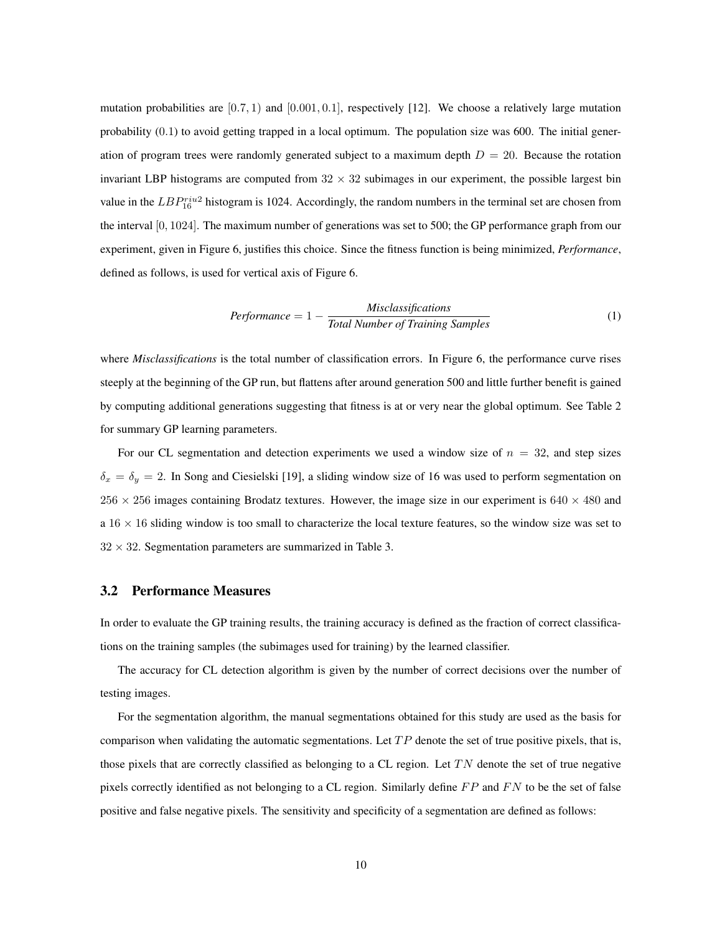mutation probabilities are  $[0.7, 1)$  and  $[0.001, 0.1]$ , respectively [12]. We choose a relatively large mutation probability (0.1) to avoid getting trapped in a local optimum. The population size was 600. The initial generation of program trees were randomly generated subject to a maximum depth  $D = 20$ . Because the rotation invariant LBP histograms are computed from  $32 \times 32$  subimages in our experiment, the possible largest bin value in the  $LBP_{16}^{riu2}$  histogram is 1024. Accordingly, the random numbers in the terminal set are chosen from the interval [0, 1024]. The maximum number of generations was set to 500; the GP performance graph from our experiment, given in Figure 6, justifies this choice. Since the fitness function is being minimized, *Performance*, defined as follows, is used for vertical axis of Figure 6.

$$
Performance = 1 - \frac{Misclassifications}{Total Number of Training Samples}
$$
\n(1)

where *Misclassifications* is the total number of classification errors. In Figure 6, the performance curve rises steeply at the beginning of the GP run, but flattens after around generation 500 and little further benefit is gained by computing additional generations suggesting that fitness is at or very near the global optimum. See Table 2 for summary GP learning parameters.

For our CL segmentation and detection experiments we used a window size of  $n = 32$ , and step sizes  $\delta_x = \delta_y = 2$ . In Song and Ciesielski [19], a sliding window size of 16 was used to perform segmentation on  $256 \times 256$  images containing Brodatz textures. However, the image size in our experiment is  $640 \times 480$  and  $a$  16  $\times$  16 sliding window is too small to characterize the local texture features, so the window size was set to  $32 \times 32$ . Segmentation parameters are summarized in Table 3.

## 3.2 Performance Measures

In order to evaluate the GP training results, the training accuracy is defined as the fraction of correct classifications on the training samples (the subimages used for training) by the learned classifier.

The accuracy for CL detection algorithm is given by the number of correct decisions over the number of testing images.

For the segmentation algorithm, the manual segmentations obtained for this study are used as the basis for comparison when validating the automatic segmentations. Let  $TP$  denote the set of true positive pixels, that is, those pixels that are correctly classified as belonging to a CL region. Let  $TN$  denote the set of true negative pixels correctly identified as not belonging to a CL region. Similarly define  $FP$  and  $FN$  to be the set of false positive and false negative pixels. The sensitivity and specificity of a segmentation are defined as follows: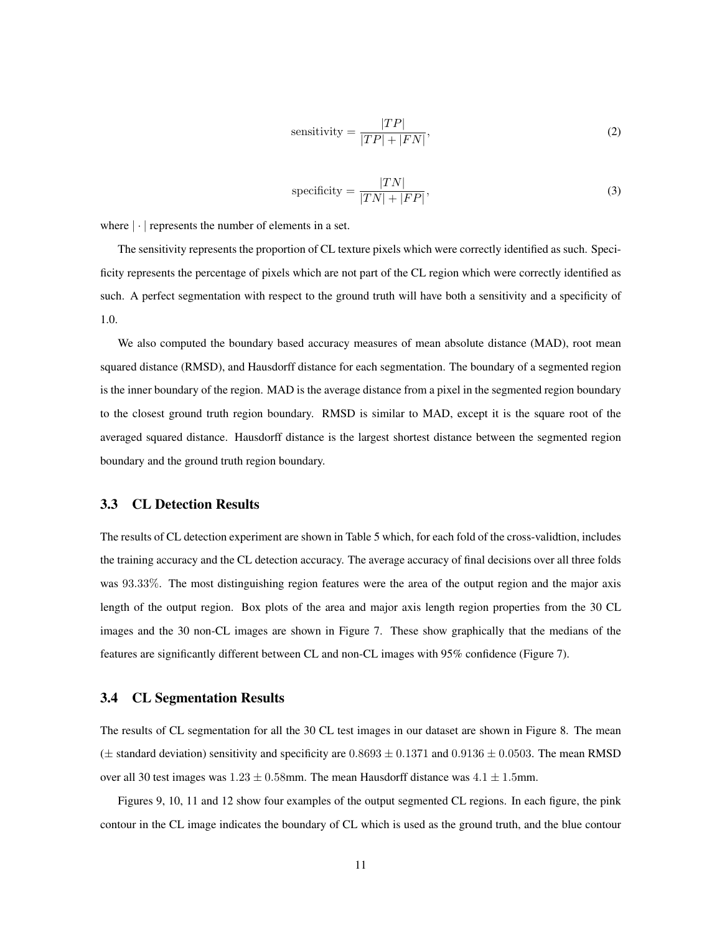$$
sensitivity = \frac{|TP|}{|TP| + |FN|},\tag{2}
$$

specificity = 
$$
\frac{|TN|}{|TN| + |FP|},
$$
 (3)

where  $|\cdot|$  represents the number of elements in a set.

The sensitivity represents the proportion of CL texture pixels which were correctly identified as such. Specificity represents the percentage of pixels which are not part of the CL region which were correctly identified as such. A perfect segmentation with respect to the ground truth will have both a sensitivity and a specificity of 1.0.

We also computed the boundary based accuracy measures of mean absolute distance (MAD), root mean squared distance (RMSD), and Hausdorff distance for each segmentation. The boundary of a segmented region is the inner boundary of the region. MAD is the average distance from a pixel in the segmented region boundary to the closest ground truth region boundary. RMSD is similar to MAD, except it is the square root of the averaged squared distance. Hausdorff distance is the largest shortest distance between the segmented region boundary and the ground truth region boundary.

## 3.3 CL Detection Results

The results of CL detection experiment are shown in Table 5 which, for each fold of the cross-validtion, includes the training accuracy and the CL detection accuracy. The average accuracy of final decisions over all three folds was 93.33%. The most distinguishing region features were the area of the output region and the major axis length of the output region. Box plots of the area and major axis length region properties from the 30 CL images and the 30 non-CL images are shown in Figure 7. These show graphically that the medians of the features are significantly different between CL and non-CL images with 95% confidence (Figure 7).

#### 3.4 CL Segmentation Results

The results of CL segmentation for all the 30 CL test images in our dataset are shown in Figure 8. The mean ( $\pm$  standard deviation) sensitivity and specificity are 0.8693  $\pm$  0.1371 and 0.9136  $\pm$  0.0503. The mean RMSD over all 30 test images was  $1.23 \pm 0.58$ mm. The mean Hausdorff distance was  $4.1 \pm 1.5$ mm.

Figures 9, 10, 11 and 12 show four examples of the output segmented CL regions. In each figure, the pink contour in the CL image indicates the boundary of CL which is used as the ground truth, and the blue contour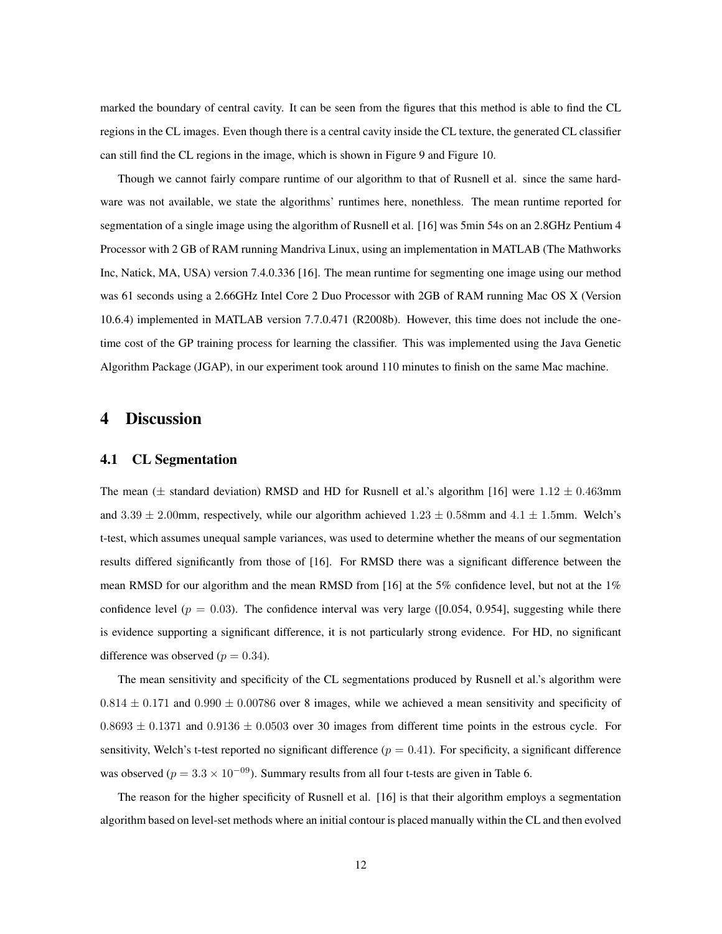marked the boundary of central cavity. It can be seen from the figures that this method is able to find the CL regions in the CL images. Even though there is a central cavity inside the CL texture, the generated CL classifier can still find the CL regions in the image, which is shown in Figure 9 and Figure 10.

Though we cannot fairly compare runtime of our algorithm to that of Rusnell et al. since the same hardware was not available, we state the algorithms' runtimes here, nonethless. The mean runtime reported for segmentation of a single image using the algorithm of Rusnell et al. [16] was 5min 54s on an 2.8GHz Pentium 4 Processor with 2 GB of RAM running Mandriva Linux, using an implementation in MATLAB (The Mathworks Inc, Natick, MA, USA) version 7.4.0.336 [16]. The mean runtime for segmenting one image using our method was 61 seconds using a 2.66GHz Intel Core 2 Duo Processor with 2GB of RAM running Mac OS X (Version 10.6.4) implemented in MATLAB version 7.7.0.471 (R2008b). However, this time does not include the onetime cost of the GP training process for learning the classifier. This was implemented using the Java Genetic Algorithm Package (JGAP), in our experiment took around 110 minutes to finish on the same Mac machine.

# 4 Discussion

#### 4.1 CL Segmentation

The mean ( $\pm$  standard deviation) RMSD and HD for Rusnell et al.'s algorithm [16] were 1.12  $\pm$  0.463mm and  $3.39 \pm 2.00$ mm, respectively, while our algorithm achieved  $1.23 \pm 0.58$ mm and  $4.1 \pm 1.5$ mm. Welch's t-test, which assumes unequal sample variances, was used to determine whether the means of our segmentation results differed significantly from those of [16]. For RMSD there was a significant difference between the mean RMSD for our algorithm and the mean RMSD from [16] at the 5% confidence level, but not at the 1% confidence level ( $p = 0.03$ ). The confidence interval was very large ([0.054, 0.954], suggesting while there is evidence supporting a significant difference, it is not particularly strong evidence. For HD, no significant difference was observed ( $p = 0.34$ ).

The mean sensitivity and specificity of the CL segmentations produced by Rusnell et al.'s algorithm were  $0.814 \pm 0.171$  and  $0.990 \pm 0.00786$  over 8 images, while we achieved a mean sensitivity and specificity of  $0.8693 \pm 0.1371$  and  $0.9136 \pm 0.0503$  over 30 images from different time points in the estrous cycle. For sensitivity, Welch's t-test reported no significant difference ( $p = 0.41$ ). For specificity, a significant difference was observed ( $p = 3.3 \times 10^{-09}$ ). Summary results from all four t-tests are given in Table 6.

The reason for the higher specificity of Rusnell et al. [16] is that their algorithm employs a segmentation algorithm based on level-set methods where an initial contour is placed manually within the CL and then evolved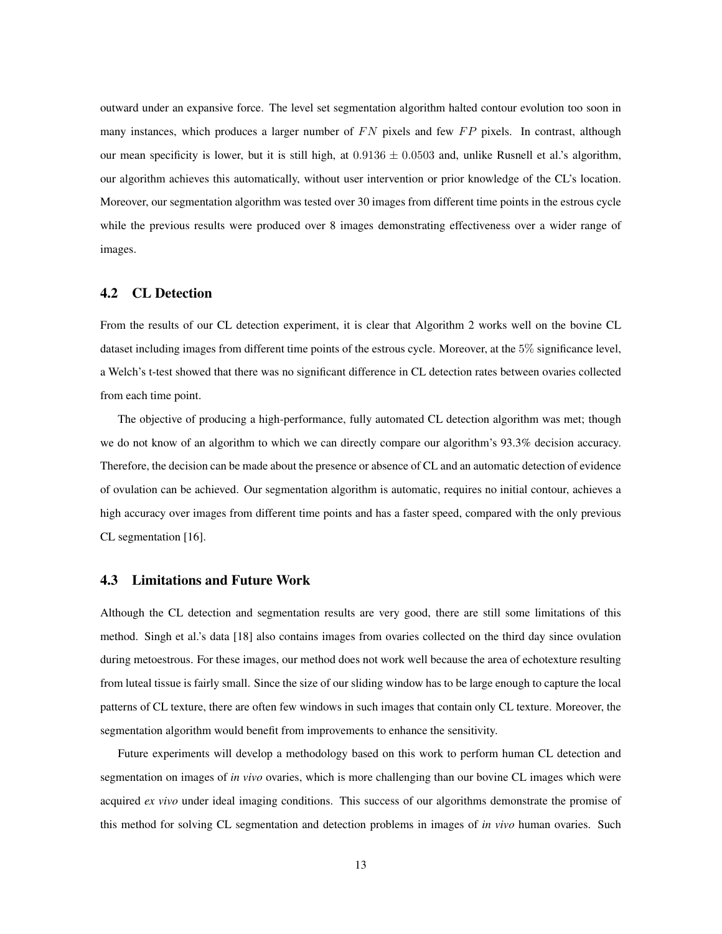outward under an expansive force. The level set segmentation algorithm halted contour evolution too soon in many instances, which produces a larger number of  $FN$  pixels and few  $FP$  pixels. In contrast, although our mean specificity is lower, but it is still high, at  $0.9136 \pm 0.0503$  and, unlike Rusnell et al.'s algorithm, our algorithm achieves this automatically, without user intervention or prior knowledge of the CL's location. Moreover, our segmentation algorithm was tested over 30 images from different time points in the estrous cycle while the previous results were produced over 8 images demonstrating effectiveness over a wider range of images.

## 4.2 CL Detection

From the results of our CL detection experiment, it is clear that Algorithm 2 works well on the bovine CL dataset including images from different time points of the estrous cycle. Moreover, at the 5% significance level, a Welch's t-test showed that there was no significant difference in CL detection rates between ovaries collected from each time point.

The objective of producing a high-performance, fully automated CL detection algorithm was met; though we do not know of an algorithm to which we can directly compare our algorithm's 93.3% decision accuracy. Therefore, the decision can be made about the presence or absence of CL and an automatic detection of evidence of ovulation can be achieved. Our segmentation algorithm is automatic, requires no initial contour, achieves a high accuracy over images from different time points and has a faster speed, compared with the only previous CL segmentation [16].

## 4.3 Limitations and Future Work

Although the CL detection and segmentation results are very good, there are still some limitations of this method. Singh et al.'s data [18] also contains images from ovaries collected on the third day since ovulation during metoestrous. For these images, our method does not work well because the area of echotexture resulting from luteal tissue is fairly small. Since the size of our sliding window has to be large enough to capture the local patterns of CL texture, there are often few windows in such images that contain only CL texture. Moreover, the segmentation algorithm would benefit from improvements to enhance the sensitivity.

Future experiments will develop a methodology based on this work to perform human CL detection and segmentation on images of *in vivo* ovaries, which is more challenging than our bovine CL images which were acquired *ex vivo* under ideal imaging conditions. This success of our algorithms demonstrate the promise of this method for solving CL segmentation and detection problems in images of *in vivo* human ovaries. Such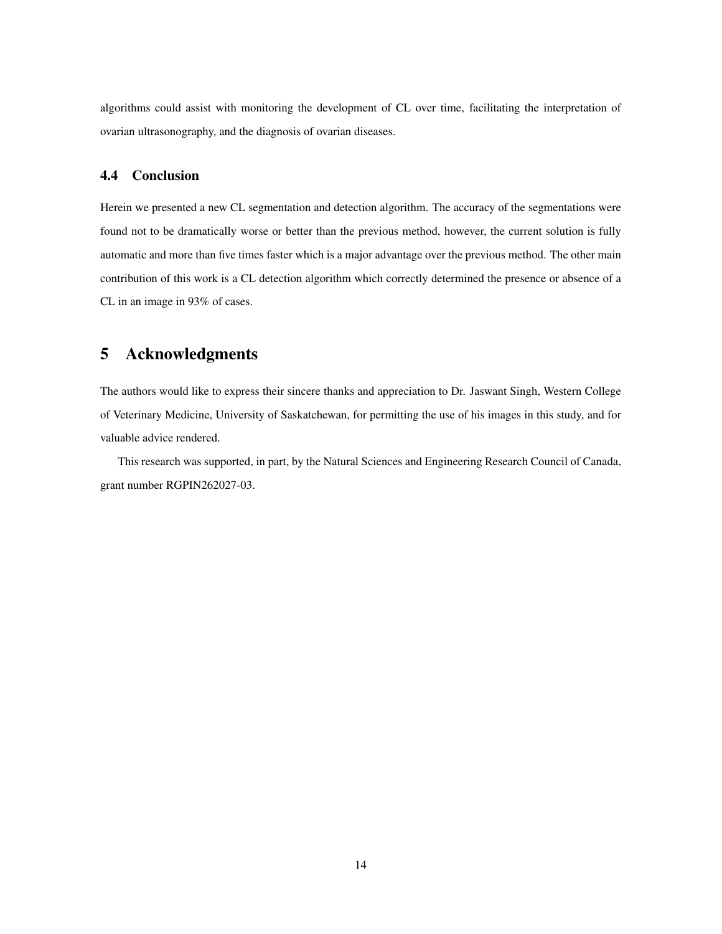algorithms could assist with monitoring the development of CL over time, facilitating the interpretation of ovarian ultrasonography, and the diagnosis of ovarian diseases.

# 4.4 Conclusion

Herein we presented a new CL segmentation and detection algorithm. The accuracy of the segmentations were found not to be dramatically worse or better than the previous method, however, the current solution is fully automatic and more than five times faster which is a major advantage over the previous method. The other main contribution of this work is a CL detection algorithm which correctly determined the presence or absence of a CL in an image in 93% of cases.

# 5 Acknowledgments

The authors would like to express their sincere thanks and appreciation to Dr. Jaswant Singh, Western College of Veterinary Medicine, University of Saskatchewan, for permitting the use of his images in this study, and for valuable advice rendered.

This research was supported, in part, by the Natural Sciences and Engineering Research Council of Canada, grant number RGPIN262027-03.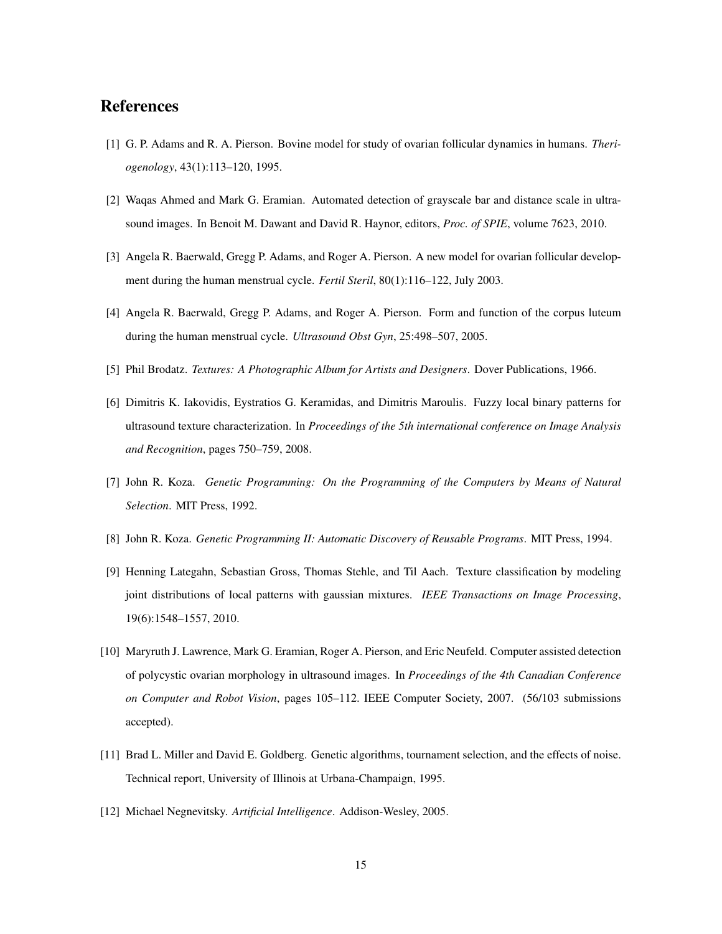# References

- [1] G. P. Adams and R. A. Pierson. Bovine model for study of ovarian follicular dynamics in humans. *Theriogenology*, 43(1):113–120, 1995.
- [2] Waqas Ahmed and Mark G. Eramian. Automated detection of grayscale bar and distance scale in ultrasound images. In Benoit M. Dawant and David R. Haynor, editors, *Proc. of SPIE*, volume 7623, 2010.
- [3] Angela R. Baerwald, Gregg P. Adams, and Roger A. Pierson. A new model for ovarian follicular development during the human menstrual cycle. *Fertil Steril*, 80(1):116–122, July 2003.
- [4] Angela R. Baerwald, Gregg P. Adams, and Roger A. Pierson. Form and function of the corpus luteum during the human menstrual cycle. *Ultrasound Obst Gyn*, 25:498–507, 2005.
- [5] Phil Brodatz. *Textures: A Photographic Album for Artists and Designers*. Dover Publications, 1966.
- [6] Dimitris K. Iakovidis, Eystratios G. Keramidas, and Dimitris Maroulis. Fuzzy local binary patterns for ultrasound texture characterization. In *Proceedings of the 5th international conference on Image Analysis and Recognition*, pages 750–759, 2008.
- [7] John R. Koza. *Genetic Programming: On the Programming of the Computers by Means of Natural Selection*. MIT Press, 1992.
- [8] John R. Koza. *Genetic Programming II: Automatic Discovery of Reusable Programs*. MIT Press, 1994.
- [9] Henning Lategahn, Sebastian Gross, Thomas Stehle, and Til Aach. Texture classification by modeling joint distributions of local patterns with gaussian mixtures. *IEEE Transactions on Image Processing*, 19(6):1548–1557, 2010.
- [10] Maryruth J. Lawrence, Mark G. Eramian, Roger A. Pierson, and Eric Neufeld. Computer assisted detection of polycystic ovarian morphology in ultrasound images. In *Proceedings of the 4th Canadian Conference on Computer and Robot Vision*, pages 105–112. IEEE Computer Society, 2007. (56/103 submissions accepted).
- [11] Brad L. Miller and David E. Goldberg. Genetic algorithms, tournament selection, and the effects of noise. Technical report, University of Illinois at Urbana-Champaign, 1995.
- [12] Michael Negnevitsky. *Artificial Intelligence*. Addison-Wesley, 2005.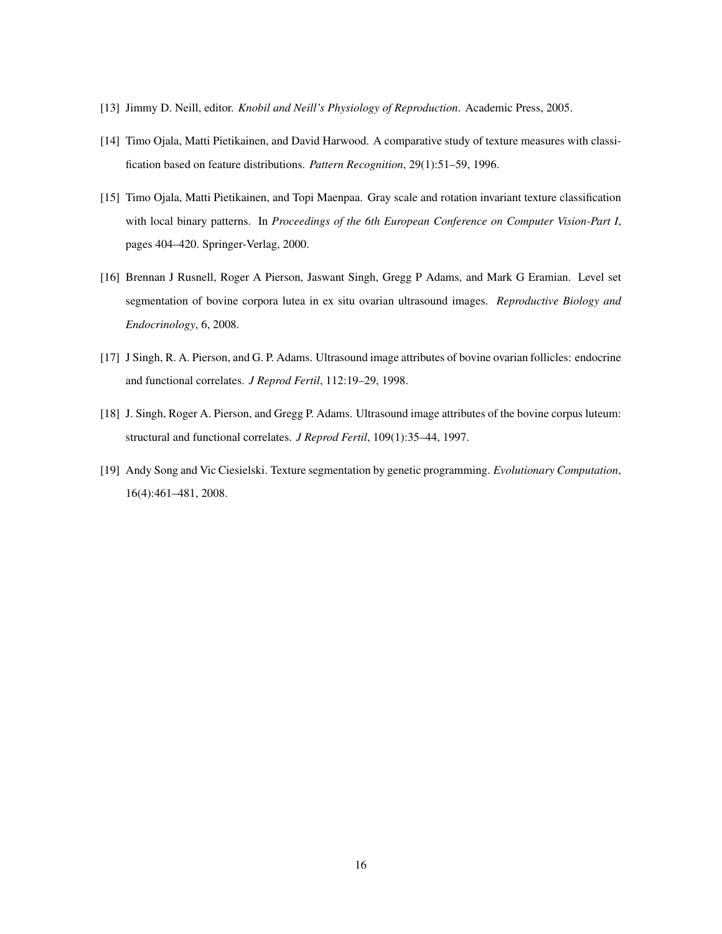- [13] Jimmy D. Neill, editor. *Knobil and Neill's Physiology of Reproduction*. Academic Press, 2005.
- [14] Timo Ojala, Matti Pietikainen, and David Harwood. A comparative study of texture measures with classification based on feature distributions. *Pattern Recognition*, 29(1):51–59, 1996.
- [15] Timo Ojala, Matti Pietikainen, and Topi Maenpaa. Gray scale and rotation invariant texture classification with local binary patterns. In *Proceedings of the 6th European Conference on Computer Vision-Part I*, pages 404–420. Springer-Verlag, 2000.
- [16] Brennan J Rusnell, Roger A Pierson, Jaswant Singh, Gregg P Adams, and Mark G Eramian. Level set segmentation of bovine corpora lutea in ex situ ovarian ultrasound images. *Reproductive Biology and Endocrinology*, 6, 2008.
- [17] J Singh, R. A. Pierson, and G. P. Adams. Ultrasound image attributes of bovine ovarian follicles: endocrine and functional correlates. *J Reprod Fertil*, 112:19–29, 1998.
- [18] J. Singh, Roger A. Pierson, and Gregg P. Adams. Ultrasound image attributes of the bovine corpus luteum: structural and functional correlates. *J Reprod Fertil*, 109(1):35–44, 1997.
- [19] Andy Song and Vic Ciesielski. Texture segmentation by genetic programming. *Evolutionary Computation*, 16(4):461–481, 2008.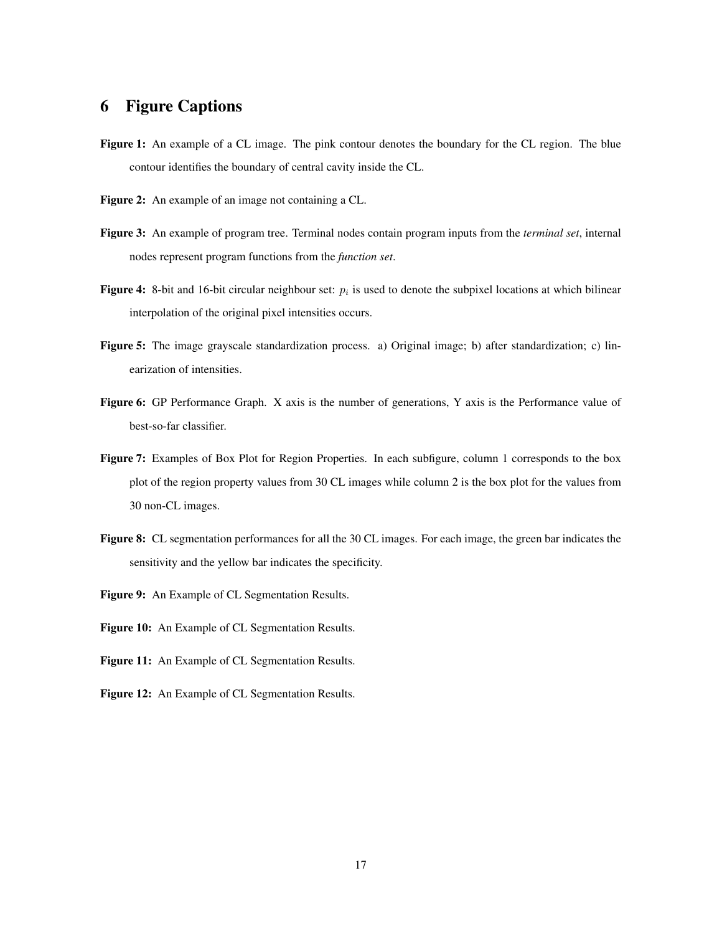# 6 Figure Captions

- Figure 1: An example of a CL image. The pink contour denotes the boundary for the CL region. The blue contour identifies the boundary of central cavity inside the CL.
- Figure 2: An example of an image not containing a CL.
- Figure 3: An example of program tree. Terminal nodes contain program inputs from the *terminal set*, internal nodes represent program functions from the *function set*.
- Figure 4: 8-bit and 16-bit circular neighbour set:  $p_i$  is used to denote the subpixel locations at which bilinear interpolation of the original pixel intensities occurs.
- Figure 5: The image grayscale standardization process. a) Original image; b) after standardization; c) linearization of intensities.
- Figure 6: GP Performance Graph. X axis is the number of generations, Y axis is the Performance value of best-so-far classifier.
- Figure 7: Examples of Box Plot for Region Properties. In each subfigure, column 1 corresponds to the box plot of the region property values from 30 CL images while column 2 is the box plot for the values from 30 non-CL images.
- Figure 8: CL segmentation performances for all the 30 CL images. For each image, the green bar indicates the sensitivity and the yellow bar indicates the specificity.
- Figure 9: An Example of CL Segmentation Results.
- Figure 10: An Example of CL Segmentation Results.
- Figure 11: An Example of CL Segmentation Results.
- Figure 12: An Example of CL Segmentation Results.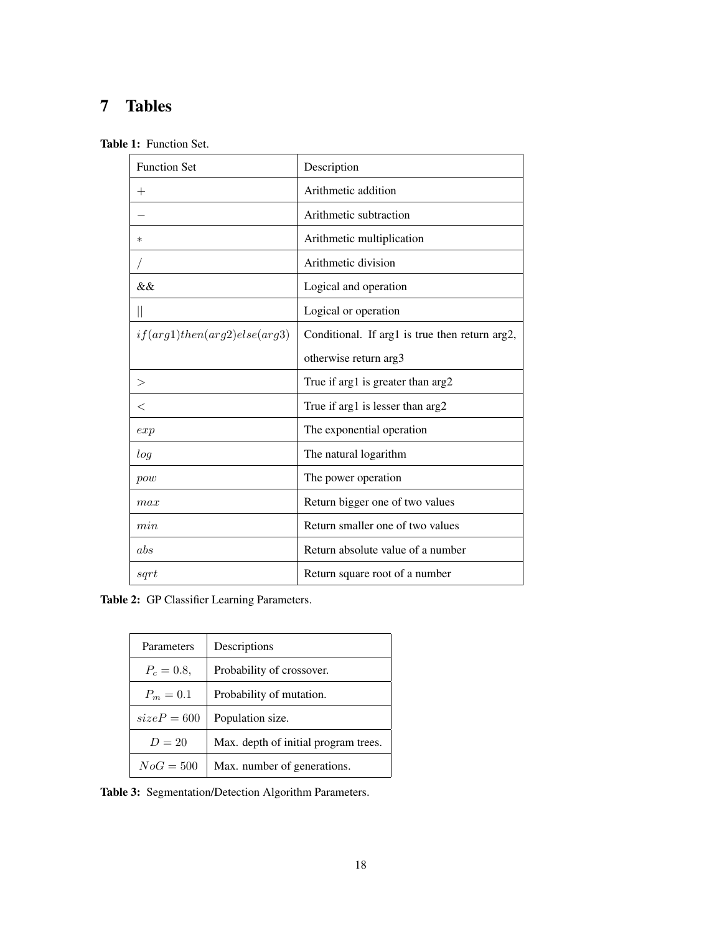# 7 Tables

|  |  | <b>Table 1:</b> Function Set. |  |
|--|--|-------------------------------|--|
|--|--|-------------------------------|--|

| <b>Function Set</b>            | Description                                    |  |
|--------------------------------|------------------------------------------------|--|
| $^{+}$                         | Arithmetic addition                            |  |
|                                | Arithmetic subtraction                         |  |
| $\ast$                         | Arithmetic multiplication                      |  |
|                                | Arithmetic division                            |  |
| &&                             | Logical and operation                          |  |
| $\parallel$                    | Logical or operation                           |  |
| if(arg1) then(arg2) else(arg3) | Conditional. If arg1 is true then return arg2, |  |
|                                | otherwise return arg3                          |  |
| >                              | True if arg1 is greater than arg2              |  |
| $\,<\,$                        | True if arg1 is lesser than arg2               |  |
| exp                            | The exponential operation                      |  |
| log                            | The natural logarithm                          |  |
| pow                            | The power operation                            |  |
| max                            | Return bigger one of two values                |  |
| min                            | Return smaller one of two values               |  |
| abs                            | Return absolute value of a number              |  |
| sqrt                           | Return square root of a number                 |  |

Table 2: GP Classifier Learning Parameters.

| Parameters    | Descriptions                         |  |
|---------------|--------------------------------------|--|
| $P_c = 0.8$   | Probability of crossover.            |  |
| $P_m = 0.1$   | Probability of mutation.             |  |
| $sizeP = 600$ | Population size.                     |  |
| $D=20$        | Max. depth of initial program trees. |  |
| $NoG = 500$   | Max. number of generations.          |  |

Table 3: Segmentation/Detection Algorithm Parameters.